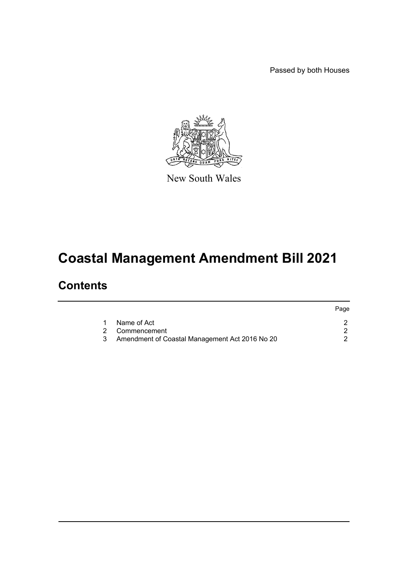Passed by both Houses



New South Wales

# **Coastal Management Amendment Bill 2021**

### **Contents**

|                                                | Page |
|------------------------------------------------|------|
| Name of Act                                    |      |
| 2 Commencement                                 |      |
| Amendment of Coastal Management Act 2016 No 20 |      |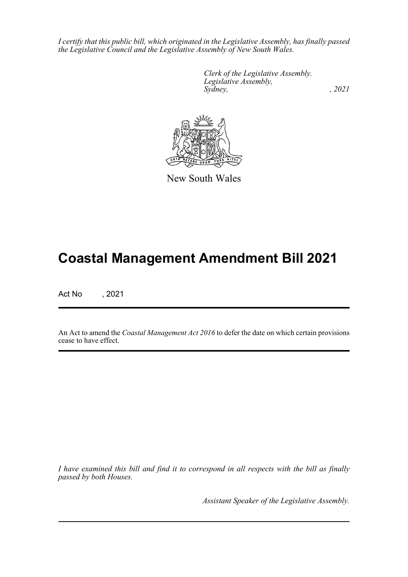*I certify that this public bill, which originated in the Legislative Assembly, has finally passed the Legislative Council and the Legislative Assembly of New South Wales.*

> *Clerk of the Legislative Assembly. Legislative Assembly, Sydney, , 2021*



New South Wales

## **Coastal Management Amendment Bill 2021**

Act No , 2021

An Act to amend the *Coastal Management Act 2016* to defer the date on which certain provisions cease to have effect.

*I have examined this bill and find it to correspond in all respects with the bill as finally passed by both Houses.*

*Assistant Speaker of the Legislative Assembly.*